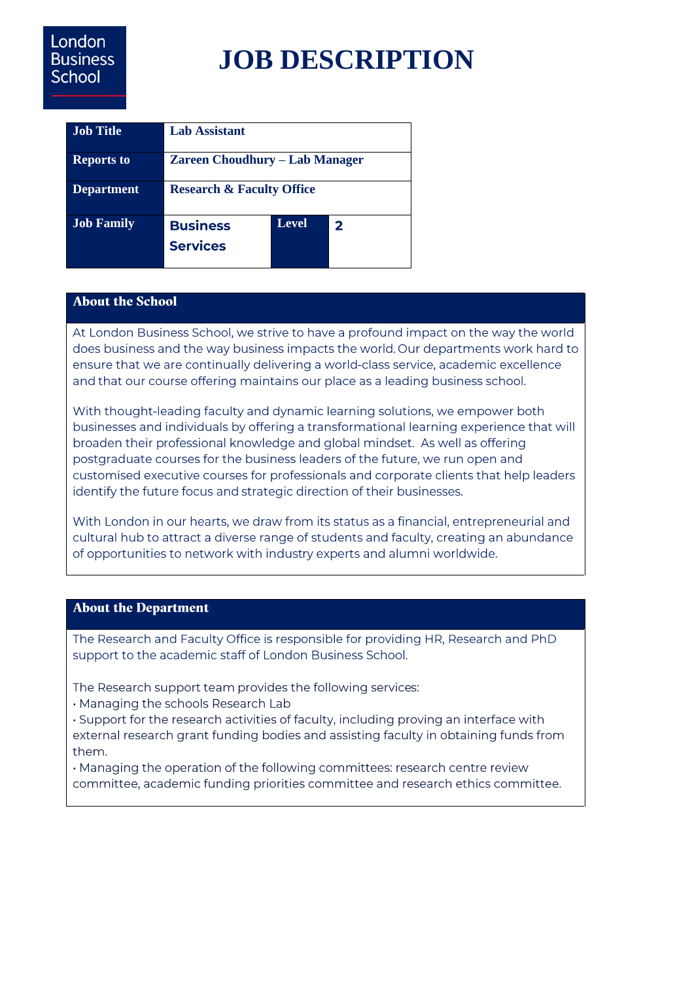# London **Business** School

# **JOB DESCRIPTION**

| <b>Job Title</b>  | <b>Lab Assistant</b>                  |       |              |
|-------------------|---------------------------------------|-------|--------------|
| <b>Reports to</b> | <b>Zareen Choudhury – Lab Manager</b> |       |              |
| <b>Department</b> | <b>Research &amp; Faculty Office</b>  |       |              |
| Job Family        | <b>Business</b><br><b>Services</b>    | Level | $\mathbf{z}$ |

# **About the School**

At London Business School, we strive to have a profound impact on the way the world does business and the way business impacts the world. Our departments work hard to ensure that we are continually delivering a world-class service, academic excellence and that our course offering maintains our place as a leading business school.

With thought-leading faculty and dynamic learning solutions, we empower both businesses and individuals by offering a transformational learning experience that will broaden their professional knowledge and global mindset. As well as offering postgraduate courses for the business leaders of the future, we run open and customised executive courses for professionals and corporate clients that help leaders identify the future focus and strategic direction of their businesses.

With London in our hearts, we draw from its status as a financial, entrepreneurial and cultural hub to attract a diverse range of students and faculty, creating an abundance of opportunities to network with industry experts and alumni worldwide.

# **About the Department**

The Research and Faculty Office is responsible for providing HR, Research and PhD support to the academic staff of London Business School.

The Research support team provides the following services:

. Managing the schools Research Lab

. Support for the research activities of faculty, including proving an interface with external research grant funding bodies and assisting faculty in obtaining funds from them.

· Managing the operation of the following committees: research centre review committee, academic funding priorities committee and research ethics committee.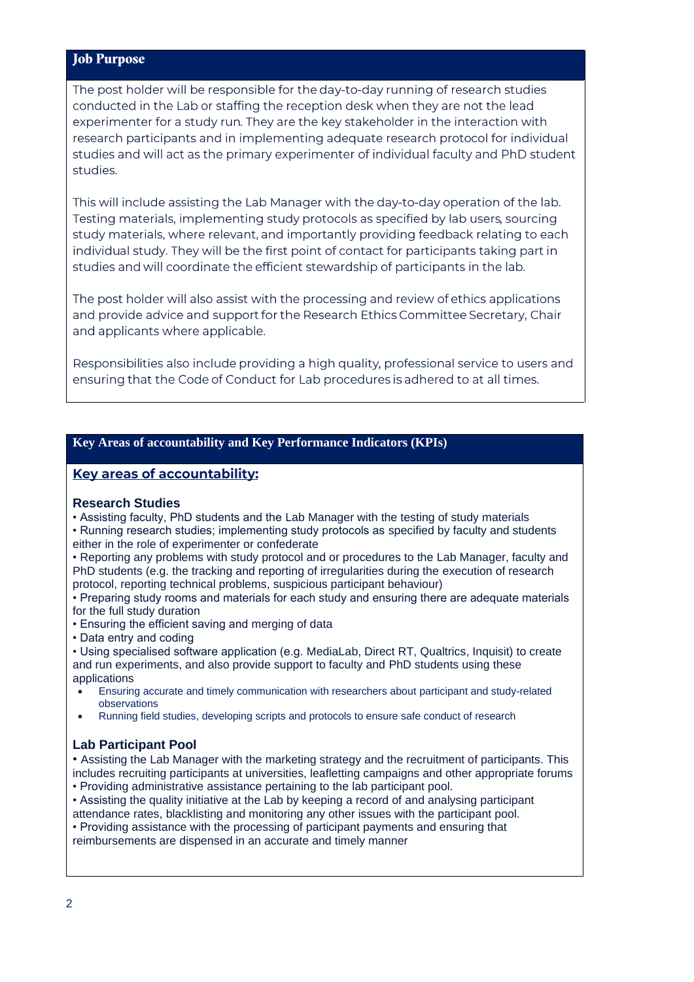# **Job Purpose**

The post holder will be responsible for the day-to-day running of research studies conducted in the Lab or staffing the reception desk when they are not the lead experimenter for a study run. They are the key stakeholder in the interaction with research participants and in implementing adequate research protocol for individual studies and will act as the primary experimenter of individual faculty and PhD student studies.

This will include assisting the Lab Manager with the day-to-day operation of the lab. Testing materials, implementing study protocols as specified by lab users, sourcing study materials, where relevant, and importantly providing feedback relating to each individual study. They will be the first point of contact for participants taking part in studies and will coordinate the efficient stewardship of participants in the lab.

The post holder will also assist with the processing and review of ethics applications and provide advice and support for the Research Ethics Committee Secretary, Chair and applicants where applicable.

Responsibilities also include providing a high quality, professional service to users and ensuring that the Code of Conduct for Lab procedures is adhered to at all times.

#### **Key Areas of accountability and Key Performance Indicators (KPIs)**

#### Key areas of accountability:

#### **Research Studies**

- Assisting faculty, PhD students and the Lab Manager with the testing of study materials
- Running research studies; implementing study protocols as specified by faculty and students either in the role of experimenter or confederate
- Reporting any problems with study protocol and or procedures to the Lab Manager, faculty and PhD students (e.g. the tracking and reporting of irregularities during the execution of research protocol, reporting technical problems, suspicious participant behaviour)
- Preparing study rooms and materials for each study and ensuring there are adequate materials for the full study duration
- Ensuring the efficient saving and merging of data
- Data entry and coding
- Using specialised software application (e.g. MediaLab, Direct RT, Qualtrics, Inquisit) to create and run experiments, and also provide support to faculty and PhD students using these applications
- Ensuring accurate and timely communication with researchers about participant and study-related observations
- Running field studies, developing scripts and protocols to ensure safe conduct of research

# **Lab Participant Pool**

• Assisting the Lab Manager with the marketing strategy and the recruitment of participants. This includes recruiting participants at universities, leafletting campaigns and other appropriate forums

- Providing administrative assistance pertaining to the lab participant pool.
- Assisting the quality initiative at the Lab by keeping a record of and analysing participant attendance rates, blacklisting and monitoring any other issues with the participant pool.
- Providing assistance with the processing of participant payments and ensuring that

reimbursements are dispensed in an accurate and timely manner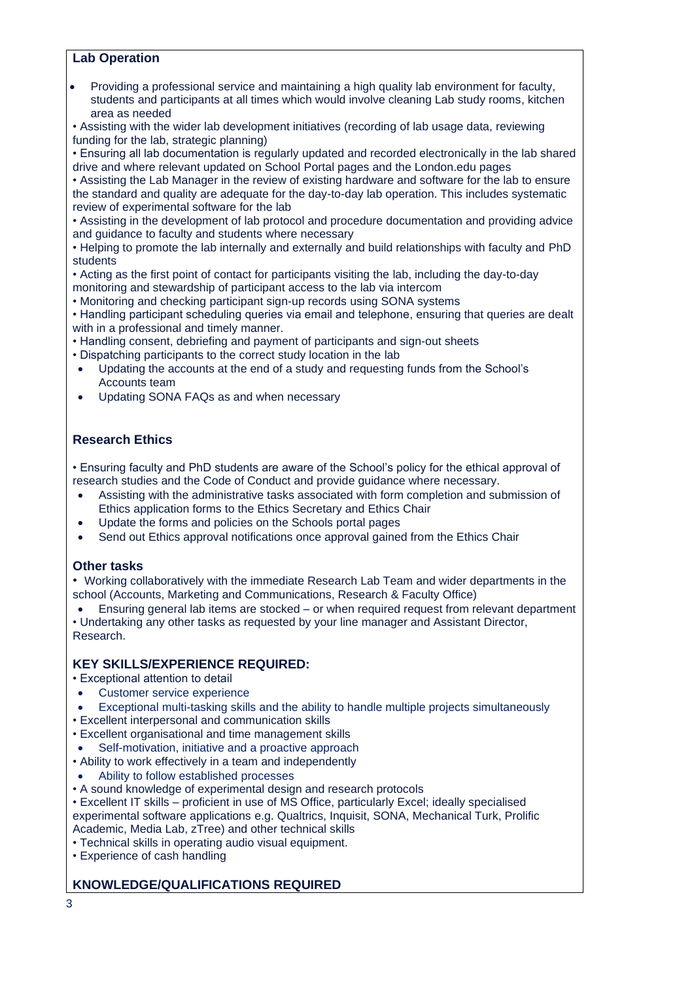#### **Lab Operation**

• Providing a professional service and maintaining a high quality lab environment for faculty, students and participants at all times which would involve cleaning Lab study rooms, kitchen area as needed

• Assisting with the wider lab development initiatives (recording of lab usage data, reviewing funding for the lab, strategic planning)

• Ensuring all lab documentation is regularly updated and recorded electronically in the lab shared drive and where relevant updated on School Portal pages and the London.edu pages

• Assisting the Lab Manager in the review of existing hardware and software for the lab to ensure the standard and quality are adequate for the day-to-day lab operation. This includes systematic review of experimental software for the lab

• Assisting in the development of lab protocol and procedure documentation and providing advice and guidance to faculty and students where necessary

• Helping to promote the lab internally and externally and build relationships with faculty and PhD students

• Acting as the first point of contact for participants visiting the lab, including the day-to-day monitoring and stewardship of participant access to the lab via intercom

• Monitoring and checking participant sign-up records using SONA systems

• Handling participant scheduling queries via email and telephone, ensuring that queries are dealt with in a professional and timely manner.

• Handling consent, debriefing and payment of participants and sign-out sheets

- Dispatching participants to the correct study location in the lab
- Updating the accounts at the end of a study and requesting funds from the School's Accounts team
- Updating SONA FAQs as and when necessary

# **Research Ethics**

• Ensuring faculty and PhD students are aware of the School's policy for the ethical approval of research studies and the Code of Conduct and provide guidance where necessary.

- Assisting with the administrative tasks associated with form completion and submission of Ethics application forms to the Ethics Secretary and Ethics Chair
- Update the forms and policies on the Schools portal pages
- Send out Ethics approval notifications once approval gained from the Ethics Chair

# **Other tasks**

• Working collaboratively with the immediate Research Lab Team and wider departments in the school (Accounts, Marketing and Communications, Research & Faculty Office)

• Ensuring general lab items are stocked – or when required request from relevant department • Undertaking any other tasks as requested by your line manager and Assistant Director, Research.

# **KEY SKILLS/EXPERIENCE REQUIRED:**

• Exceptional attention to detail

- Customer service experience
- Exceptional multi-tasking skills and the ability to handle multiple projects simultaneously
- Excellent interpersonal and communication skills
- Excellent organisational and time management skills
- Self-motivation, initiative and a proactive approach
- Ability to work effectively in a team and independently
- Ability to follow established processes
- A sound knowledge of experimental design and research protocols
- Excellent IT skills proficient in use of MS Office, particularly Excel; ideally specialised experimental software applications e.g. Qualtrics, Inquisit, SONA, Mechanical Turk, Prolific Academic, Media Lab, zTree) and other technical skills
- Technical skills in operating audio visual equipment.
- Experience of cash handling

# **KNOWLEDGE/QUALIFICATIONS REQUIRED**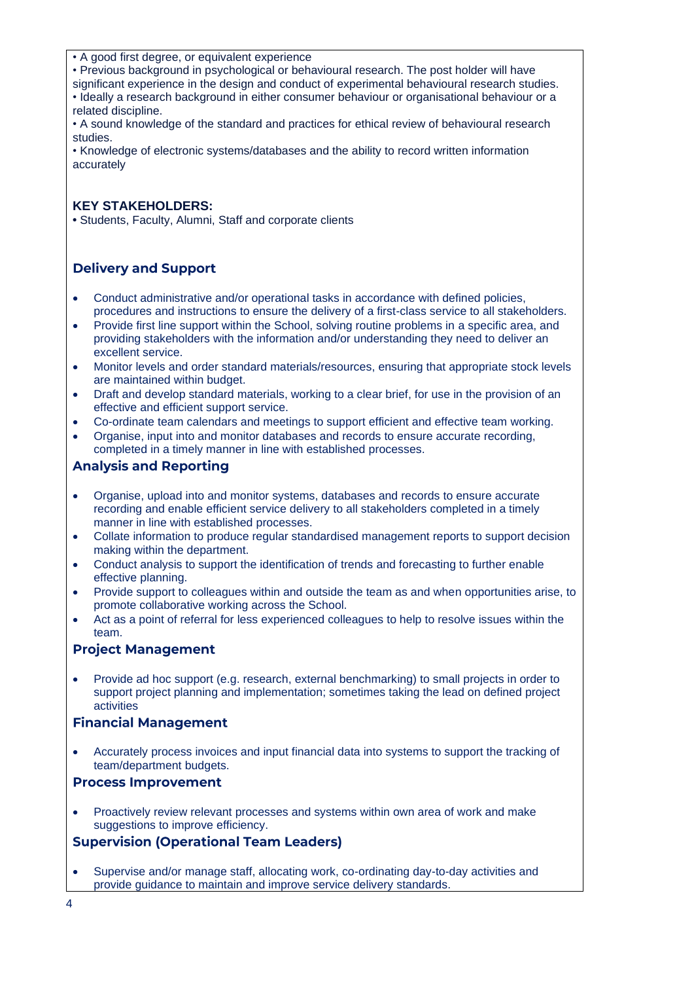- A good first degree, or equivalent experience
- Previous background in psychological or behavioural research. The post holder will have

significant experience in the design and conduct of experimental behavioural research studies. • Ideally a research background in either consumer behaviour or organisational behaviour or a related discipline.

• A sound knowledge of the standard and practices for ethical review of behavioural research studies.

• Knowledge of electronic systems/databases and the ability to record written information accurately

#### **KEY STAKEHOLDERS:**

**•** Students, Faculty, Alumni, Staff and corporate clients

# **Delivery and Support**

- Conduct administrative and/or operational tasks in accordance with defined policies, procedures and instructions to ensure the delivery of a first-class service to all stakeholders.
- Provide first line support within the School, solving routine problems in a specific area, and providing stakeholders with the information and/or understanding they need to deliver an excellent service.
- Monitor levels and order standard materials/resources, ensuring that appropriate stock levels are maintained within budget.
- Draft and develop standard materials, working to a clear brief, for use in the provision of an effective and efficient support service.
- Co-ordinate team calendars and meetings to support efficient and effective team working.
- Organise, input into and monitor databases and records to ensure accurate recording, completed in a timely manner in line with established processes.

# **Analysis and Reporting**

- Organise, upload into and monitor systems, databases and records to ensure accurate recording and enable efficient service delivery to all stakeholders completed in a timely manner in line with established processes.
- Collate information to produce regular standardised management reports to support decision making within the department.
- Conduct analysis to support the identification of trends and forecasting to further enable effective planning.
- Provide support to colleagues within and outside the team as and when opportunities arise, to promote collaborative working across the School.
- Act as a point of referral for less experienced colleagues to help to resolve issues within the team.

#### **Project Management**

• Provide ad hoc support (e.g. research, external benchmarking) to small projects in order to support project planning and implementation; sometimes taking the lead on defined project activities

# **Financial Management**

• Accurately process invoices and input financial data into systems to support the tracking of team/department budgets.

#### **Process Improvement**

• Proactively review relevant processes and systems within own area of work and make suggestions to improve efficiency.

# **Supervision (Operational Team Leaders)**

• Supervise and/or manage staff, allocating work, co-ordinating day-to-day activities and provide guidance to maintain and improve service delivery standards.